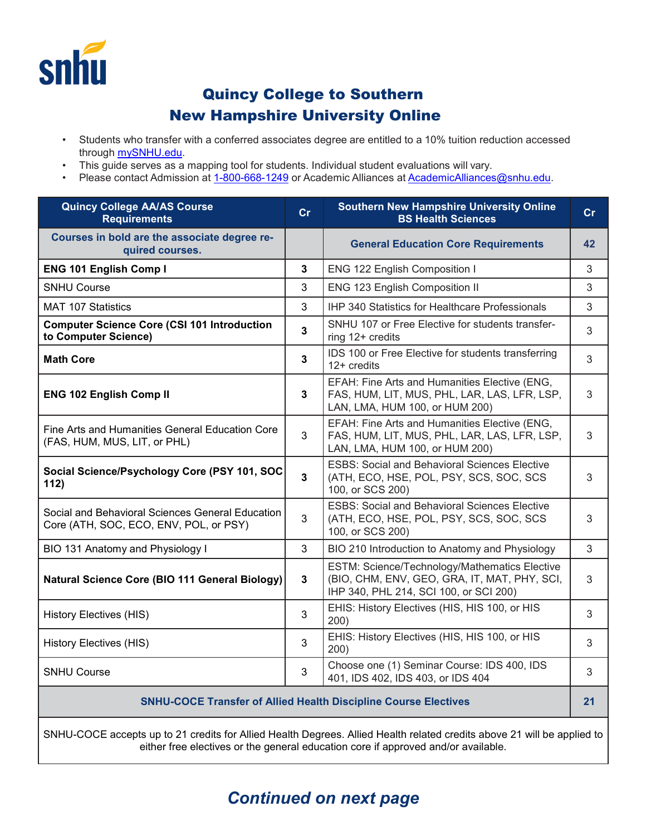

## Quincy College to Southern New Hampshire University Online

- Students who transfer with a conferred associates degree are entitled to a 10% tuition reduction accessed through [mySNHU.edu.](https://my.snhu.edu/)
- This guide serves as a mapping tool for students. Individual student evaluations will vary.
- Please contact Admission at [1-800-668-1249](tel:+1-800-668-1249) or Academic Alliances at [AcademicAlliances@snhu.edu.](mailto:AcademicAlliances@snhu.edu)

| <b>Quincy College AA/AS Course</b><br><b>Requirements</b>                                  | Cr             | <b>Southern New Hampshire University Online</b><br><b>BS Health Sciences</b>                                                            | cr |
|--------------------------------------------------------------------------------------------|----------------|-----------------------------------------------------------------------------------------------------------------------------------------|----|
| Courses in bold are the associate degree re-<br>quired courses.                            |                | <b>General Education Core Requirements</b>                                                                                              | 42 |
| <b>ENG 101 English Comp I</b>                                                              | 3              | ENG 122 English Composition I                                                                                                           | 3  |
| <b>SNHU Course</b>                                                                         | 3              | ENG 123 English Composition II                                                                                                          | 3  |
| <b>MAT 107 Statistics</b>                                                                  | 3              | IHP 340 Statistics for Healthcare Professionals                                                                                         | 3  |
| <b>Computer Science Core (CSI 101 Introduction</b><br>to Computer Science)                 | $\overline{3}$ | SNHU 107 or Free Elective for students transfer-<br>ring 12+ credits                                                                    | 3  |
| <b>Math Core</b>                                                                           | $\overline{3}$ | IDS 100 or Free Elective for students transferring<br>12+ credits                                                                       | 3  |
| <b>ENG 102 English Comp II</b>                                                             | 3              | EFAH: Fine Arts and Humanities Elective (ENG,<br>FAS, HUM, LIT, MUS, PHL, LAR, LAS, LFR, LSP,<br>LAN, LMA, HUM 100, or HUM 200)         | 3  |
| Fine Arts and Humanities General Education Core<br>(FAS, HUM, MUS, LIT, or PHL)            | 3              | EFAH: Fine Arts and Humanities Elective (ENG,<br>FAS, HUM, LIT, MUS, PHL, LAR, LAS, LFR, LSP,<br>LAN, LMA, HUM 100, or HUM 200)         | 3  |
| Social Science/Psychology Core (PSY 101, SOC<br>112)                                       | $\mathbf{3}$   | <b>ESBS: Social and Behavioral Sciences Elective</b><br>(ATH, ECO, HSE, POL, PSY, SCS, SOC, SCS<br>100, or SCS 200)                     | 3  |
| Social and Behavioral Sciences General Education<br>Core (ATH, SOC, ECO, ENV, POL, or PSY) | $\overline{3}$ | <b>ESBS: Social and Behavioral Sciences Elective</b><br>(ATH, ECO, HSE, POL, PSY, SCS, SOC, SCS<br>100, or SCS 200)                     | 3  |
| BIO 131 Anatomy and Physiology I                                                           | 3              | BIO 210 Introduction to Anatomy and Physiology                                                                                          | 3  |
| <b>Natural Science Core (BIO 111 General Biology)</b>                                      | $\overline{3}$ | ESTM: Science/Technology/Mathematics Elective<br>(BIO, CHM, ENV, GEO, GRA, IT, MAT, PHY, SCI,<br>IHP 340, PHL 214, SCI 100, or SCI 200) | 3  |
| <b>History Electives (HIS)</b>                                                             | 3              | EHIS: History Electives (HIS, HIS 100, or HIS<br>200)                                                                                   | 3  |
| <b>History Electives (HIS)</b>                                                             | 3              | EHIS: History Electives (HIS, HIS 100, or HIS<br>200)                                                                                   | 3  |
| <b>SNHU Course</b>                                                                         | 3              | Choose one (1) Seminar Course: IDS 400, IDS<br>401, IDS 402, IDS 403, or IDS 404                                                        | 3  |
| <b>SNHU-COCE Transfer of Allied Health Discipline Course Electives</b>                     |                |                                                                                                                                         |    |
|                                                                                            |                |                                                                                                                                         |    |

SNHU-COCE accepts up to 21 credits for Allied Health Degrees. Allied Health related credits above 21 will be applied to either free electives or the general education core if approved and/or available.

## *Continued on next page*